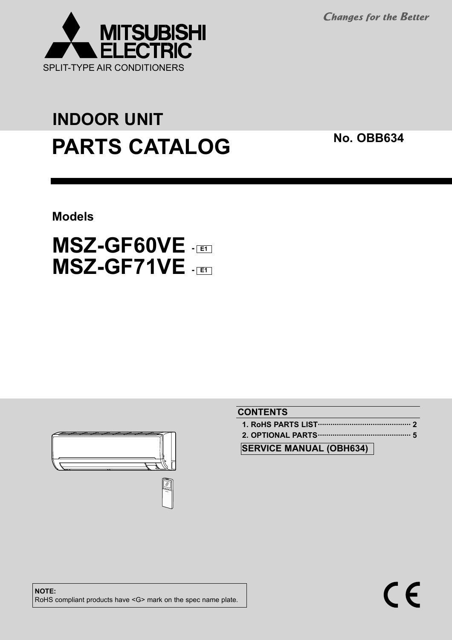**Changes for the Better** 



# **PARTS CATALOG** No. OBB634 **INDOOR UNIT**

**Models**

## **MSZ-GF60VE - E1 MSZ-GF71VE - E1**



#### **CONTENTS**

 $\epsilon$ 

**SERVICE MANUAL (OBH634)**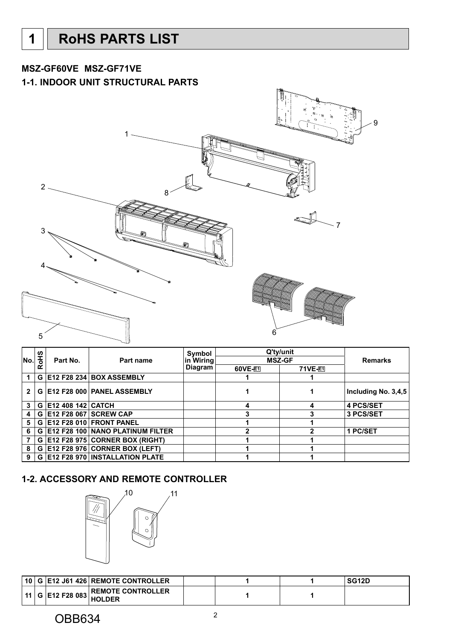#### <span id="page-1-0"></span>**MSZ-GF60VE MSZ-GF71VE**

#### **1-1. INDOOR UNIT STRUCTURAL PARTS**



|              |             |                   |                                       | Symbol         |                | Q'ty/unit     |                       |
|--------------|-------------|-------------------|---------------------------------------|----------------|----------------|---------------|-----------------------|
| No.          | <b>RoHS</b> | Part No.          | Part name                             | ∣in Wiring     |                | <b>MSZ-GF</b> | <b>Remarks</b>        |
|              |             |                   |                                       | <b>Diagram</b> | <b>60VE-E1</b> | 71VE-F1       |                       |
|              | G           |                   | E12 F28 234 BOX ASSEMBLY              |                |                |               |                       |
| $\mathbf{2}$ | G           |                   | E12 F28 000 PANEL ASSEMBLY            |                |                |               | Including No. $3,4,5$ |
| 3            | G           | E12 408 142 CATCH |                                       |                | Δ              | 4             | <b>4 PCS/SET</b>      |
| 4            | G           |                   | <b>E12 F28 067 SCREW CAP</b>          |                |                |               | 3 PCS/SET             |
| 5            | G           |                   | E12 F28 010 FRONT PANEL               |                |                |               |                       |
| 6            | G           |                   | E12 F28 100 NANO PLATINUM FILTER      |                |                |               | 1 PC/SET              |
|              | G           |                   | E12 F28 975 CORNER BOX (RIGHT)        |                |                |               |                       |
| 8            | G           |                   | E12 F28 976 CORNER BOX (LEFT)         |                |                |               |                       |
| 9            | G.          |                   | <b>E12 F28 970 INSTALLATION PLATE</b> |                |                |               |                       |

#### **1-2. ACCESSORY AND REMOTE CONTROLLER**



| ∣ 10   |                   | <b>G E12 J61 426 REMOTE CONTROLLER</b>    |  | SG12D |
|--------|-------------------|-------------------------------------------|--|-------|
| ່ 11 ເ | $ G $ E12 F28 083 | <b>REMOTE CONTROLLER</b><br><b>HOLDER</b> |  |       |

#### OBB634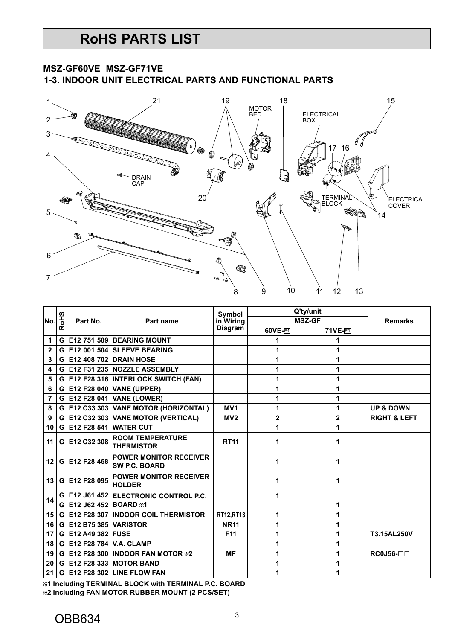#### **MSZ-GF60VE MSZ-GF71VE**

**1-3. INDOOR UNIT ELECTRICAL PARTS AND FUNCTIONAL PARTS**



|              |            |                      |                                                       | <b>Symbol</b>   |               | Q'ty/unit      |                         |
|--------------|------------|----------------------|-------------------------------------------------------|-----------------|---------------|----------------|-------------------------|
| No.          | <b>SHO</b> | Part No.             | Part name                                             | in Wiring       | <b>MSZ-GF</b> |                | <b>Remarks</b>          |
|              | ≃          |                      |                                                       | <b>Diagram</b>  | 60VE-F1       | 71VE-E1        |                         |
| 1            | G          |                      | <b>E12 751 509 BEARING MOUNT</b>                      |                 |               | 1              |                         |
| $\mathbf{2}$ | G          | E12 001 504          | <b>SLEEVE BEARING</b>                                 |                 | 1             | 1              |                         |
| 3            | G          |                      | <b>E12 408 702 DRAIN HOSE</b>                         |                 |               |                |                         |
| 4            | G          |                      | E12 F31 235 NOZZLE ASSEMBLY                           |                 |               | 1              |                         |
| 5            | G          |                      | E12 F28 316 INTERLOCK SWITCH (FAN)                    |                 | 1             | 1              |                         |
| 6            | G          |                      | <b>E12 F28 040 VANE (UPPER)</b>                       |                 |               | 1              |                         |
| 7            | G          | E12 F28 041          | <b>VANE (LOWER)</b>                                   |                 | 1             | 1              |                         |
| 8            | G          |                      | E12 C33 303 VANE MOTOR (HORIZONTAL)                   | MV <sub>1</sub> | 1             | 1              | <b>UP &amp; DOWN</b>    |
| 9            | G          |                      | <b>E12 C32 303 VANE MOTOR (VERTICAL)</b>              | MV <sub>2</sub> | $\mathbf{2}$  | $\overline{2}$ | <b>RIGHT &amp; LEFT</b> |
| 10           | G          | E12 F28 541          | <b>WATER CUT</b>                                      |                 | 1             | 1              |                         |
| 11           | G          | E12 C32 308          | <b>ROOM TEMPERATURE</b><br><b>THERMISTOR</b>          | <b>RT11</b>     | 1             | 1              |                         |
| 12           |            | G E12 F28 468        | <b>POWER MONITOR RECEIVER</b><br><b>SW P.C. BOARD</b> |                 | 1             | 1              |                         |
| 13           | G          | E12 F28 095          | <b>POWER MONITOR RECEIVER</b><br><b>HOLDER</b>        |                 | 1             | 1              |                         |
| 14           | G          |                      | E12 J61 452 ELECTRONIC CONTROL P.C.                   |                 | 1             |                |                         |
|              | G          | E12 J62 452 BOARD *1 |                                                       |                 |               | 1              |                         |
| 15           | G          | E12 F28 307          | <b>INDOOR COIL THERMISTOR</b>                         | RT12, RT13      | 1             | 1              |                         |
| 16           | G          | E12 B75 385          | <b>VARISTOR</b>                                       | <b>NR11</b>     | 1             | 1              |                         |
| 17           | G          | E12 A49 382 FUSE     |                                                       | F <sub>11</sub> | 1             |                | T3.15AL250V             |
| 18           | G          | E12 F28 784          | <b>V.A. CLAMP</b>                                     |                 | 1             | 1              |                         |
| 19           | G          | E12 F28 300          | <b>INDOOR FAN MOTOR *2</b>                            | <b>MF</b>       | 1             | 1              | $RC0J56-$               |
| 20           | G          |                      | <b>E12 F28 333 MOTOR BAND</b>                         |                 |               |                |                         |
| 21           | G          |                      | <b>E12 F28 302 LINE FLOW FAN</b>                      |                 | 1             | 1              |                         |

**1 Including TERMINAL BLOCK with TERMINAL P.C. BOARD 2 Including FAN MOTOR RUBBER MOUNT (2 PCS/SET)**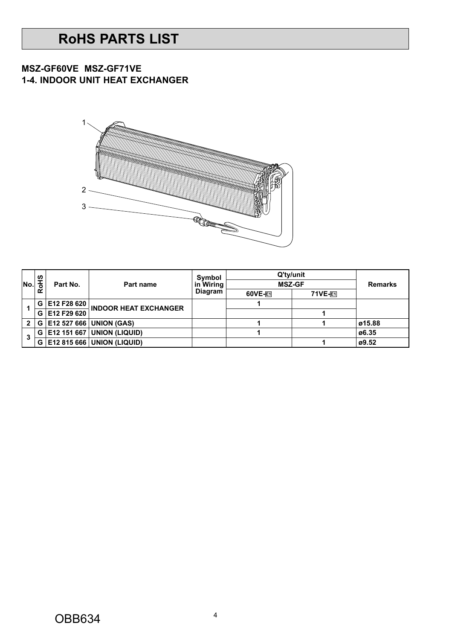## **RoHS PARTS LIST**

#### **1-4. INDOOR UNIT HEAT EXCHANGER MSZ-GF60VE MSZ-GF71VE**



|              | 9H  |             |                                   | <b>Symbol</b>  | Q'ty/unit     |                |                |
|--------------|-----|-------------|-----------------------------------|----------------|---------------|----------------|----------------|
| lNo.         |     | Part No.    | Part name                         | in Wiring      | <b>MSZ-GF</b> |                | <b>Remarks</b> |
|              |     |             |                                   | <b>Diagram</b> | 60VE-F1       | <b>71VE-F1</b> |                |
|              | G   | E12 F28 620 | <b>INDOOR HEAT EXCHANGER</b>      |                |               |                |                |
|              | G   | E12 F29 620 |                                   |                |               |                |                |
| $\mathbf{2}$ | G I |             | E12 527 666 UNION (GAS)           |                |               |                | ø15.88         |
| 3            | G   |             | <b>E12 151 667 UNION (LIQUID)</b> |                |               |                | ø6.35          |
|              | G   |             | E12 815 666 UNION (LIQUID)        |                |               |                | ø9.52          |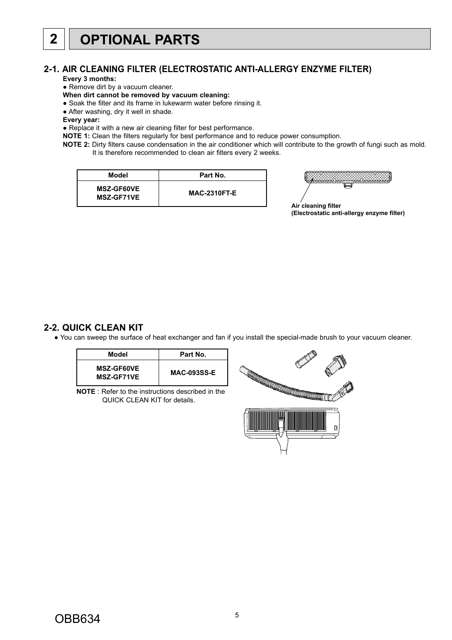#### <span id="page-4-0"></span>**2-1. AIR CLEANING FILTER (ELECTROSTATIC ANTI-ALLERGY ENZYME FILTER)**

**Every 3 months:**

• Remove dirt by a vacuum cleaner.

#### **When dirt cannot be removed by vacuum cleaning:**

- Soak the filter and its frame in lukewarm water before rinsing it.
- After washing, dry it well in shade.
- **Every year:**

● Replace it with a new air cleaning filter for best performance.

**NOTE 1:** Clean the filters regularly for best performance and to reduce power consumption.

**NOTE 2:** Dirty filters cause condensation in the air conditioner which will contribute to the growth of fungi such as mold. It is therefore recommended to clean air filters every 2 weeks.

| Model                                  | Part No.            |
|----------------------------------------|---------------------|
| <b>MSZ-GF60VE</b><br><b>MSZ-GF71VE</b> | <b>MAC-2310FT-E</b> |



**Air cleaning filter (Electrostatic anti-allergy enzyme filter)**

#### **2-2. QUICK CLEAN KIT**

● You can sweep the surface of heat exchanger and fan if you install the special-made brush to your vacuum cleaner.

| Model                                  | Part No.           |
|----------------------------------------|--------------------|
| <b>MSZ-GF60VE</b><br><b>MSZ-GF71VE</b> | <b>MAC-093SS-E</b> |

**NOTE** : Refer to the instructions described in the QUICK CLEAN KIT for details.